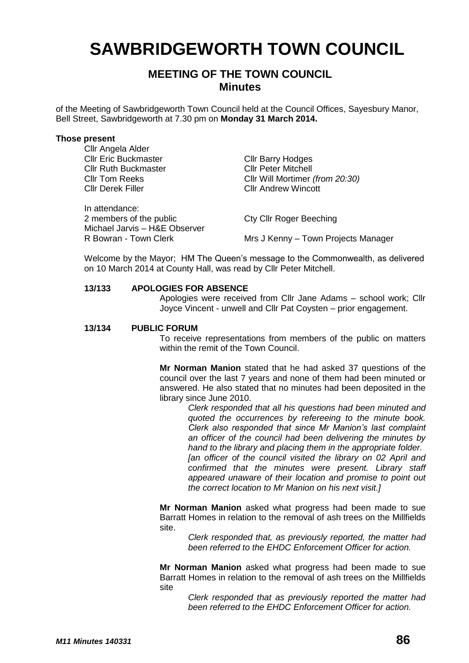# **SAWBRIDGEWORTH TOWN COUNCIL**

# **MEETING OF THE TOWN COUNCIL Minutes**

of the Meeting of Sawbridgeworth Town Council held at the Council Offices, Sayesbury Manor, Bell Street, Sawbridgeworth at 7.30 pm on **Monday 31 March 2014.**

#### **Those present**

| Cllr Angela Alder             |                                     |
|-------------------------------|-------------------------------------|
| <b>Cllr Eric Buckmaster</b>   | <b>CIIr Barry Hodges</b>            |
| <b>Cllr Ruth Buckmaster</b>   | <b>Cllr Peter Mitchell</b>          |
| <b>CIIr Tom Reeks</b>         | Cllr Will Mortimer (from 20:30)     |
| <b>Cllr Derek Filler</b>      | <b>CIIr Andrew Wincott</b>          |
| In attendance:                |                                     |
| 2 members of the public       | <b>Cty Cllr Roger Beeching</b>      |
| Michael Jarvis - H&E Observer |                                     |
| R Bowran - Town Clerk         | Mrs J Kenny - Town Projects Manager |

Welcome by the Mayor; HM The Queen's message to the Commonwealth, as delivered on 10 March 2014 at County Hall, was read by Cllr Peter Mitchell.

#### **13/133 APOLOGIES FOR ABSENCE**

Apologies were received from Cllr Jane Adams – school work; Cllr Joyce Vincent - unwell and Cllr Pat Coysten – prior engagement.

#### **13/134 PUBLIC FORUM**

To receive representations from members of the public on matters within the remit of the Town Council.

**Mr Norman Manion** stated that he had asked 37 questions of the council over the last 7 years and none of them had been minuted or answered. He also stated that no minutes had been deposited in the library since June 2010.

> *Clerk responded that all his questions had been minuted and quoted the occurrences by refereeing to the minute book. Clerk also responded that since Mr Manion's last complaint an officer of the council had been delivering the minutes by hand to the library and placing them in the appropriate folder. [an officer of the council visited the library on 02 April and confirmed that the minutes were present. Library staff appeared unaware of their location and promise to point out the correct location to Mr Manion on his next visit.]*

**Mr Norman Manion** asked what progress had been made to sue Barratt Homes in relation to the removal of ash trees on the Millfields site.

*Clerk responded that, as previously reported, the matter had been referred to the EHDC Enforcement Officer for action.*

**Mr Norman Manion** asked what progress had been made to sue Barratt Homes in relation to the removal of ash trees on the Millfields site

> *Clerk responded that as previously reported the matter had been referred to the EHDC Enforcement Officer for action.*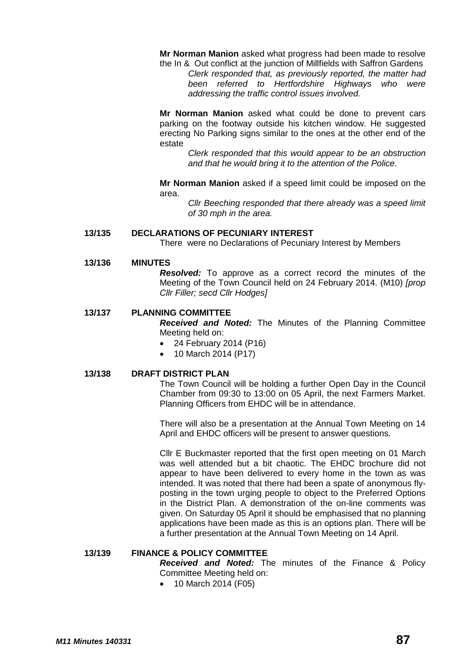**Mr Norman Manion** asked what progress had been made to resolve the In & Out conflict at the junction of Millfields with Saffron Gardens

*Clerk responded that, as previously reported, the matter had been referred to Hertfordshire Highways who were addressing the traffic control issues involved.*

**Mr Norman Manion** asked what could be done to prevent cars parking on the footway outside his kitchen window. He suggested erecting No Parking signs similar to the ones at the other end of the estate

*Clerk responded that this would appear to be an obstruction and that he would bring it to the attention of the Police.*

**Mr Norman Manion** asked if a speed limit could be imposed on the area.

> *Cllr Beeching responded that there already was a speed limit of 30 mph in the area.*

#### **13/135 DECLARATIONS OF PECUNIARY INTEREST**

There were no Declarations of Pecuniary Interest by Members

#### **13/136 MINUTES**

*Resolved:* To approve as a correct record the minutes of the Meeting of the Town Council held on 24 February 2014. (M10) *[prop Cllr Filler; secd Cllr Hodges]*

#### **13/137 PLANNING COMMITTEE**

*Received and Noted:* The Minutes of the Planning Committee Meeting held on:

- 24 February 2014 (P16)
- 10 March 2014 (P17)

#### **13/138 DRAFT DISTRICT PLAN**

The Town Council will be holding a further Open Day in the Council Chamber from 09:30 to 13:00 on 05 April, the next Farmers Market. Planning Officers from EHDC will be in attendance.

There will also be a presentation at the Annual Town Meeting on 14 April and EHDC officers will be present to answer questions.

Cllr E Buckmaster reported that the first open meeting on 01 March was well attended but a bit chaotic. The EHDC brochure did not appear to have been delivered to every home in the town as was intended. It was noted that there had been a spate of anonymous flyposting in the town urging people to object to the Preferred Options in the District Plan. A demonstration of the on-line comments was given. On Saturday 05 April it should be emphasised that no planning applications have been made as this is an options plan. There will be a further presentation at the Annual Town Meeting on 14 April.

#### **13/139 FINANCE & POLICY COMMITTEE**

*Received and Noted:* The minutes of the Finance & Policy Committee Meeting held on:

• 10 March 2014 (F05)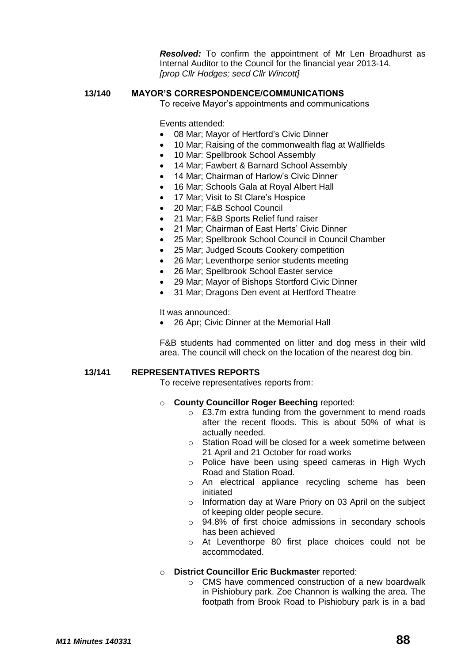*Resolved:* To confirm the appointment of Mr Len Broadhurst as Internal Auditor to the Council for the financial year 2013-14. *[prop Cllr Hodges; secd Cllr Wincott]*

#### **13/140 MAYOR'S CORRESPONDENCE/COMMUNICATIONS**

To receive Mayor's appointments and communications

Events attended:

- 08 Mar; Mayor of Hertford's Civic Dinner
- 10 Mar; Raising of the commonwealth flag at Wallfields
- 10 Mar: Spellbrook School Assembly
- 14 Mar; Fawbert & Barnard School Assembly
- 14 Mar; Chairman of Harlow's Civic Dinner
- 16 Mar; Schools Gala at Royal Albert Hall
- 17 Mar; Visit to St Clare's Hospice
- 20 Mar; F&B School Council
- 21 Mar; F&B Sports Relief fund raiser
- 21 Mar; Chairman of East Herts' Civic Dinner
- 25 Mar; Spellbrook School Council in Council Chamber
- 25 Mar; Judged Scouts Cookery competition
- 26 Mar; Leventhorpe senior students meeting
- 26 Mar; Spellbrook School Easter service
- 29 Mar; Mayor of Bishops Stortford Civic Dinner
- 31 Mar; Dragons Den event at Hertford Theatre

It was announced:

26 Apr; Civic Dinner at the Memorial Hall

F&B students had commented on litter and dog mess in their wild area. The council will check on the location of the nearest dog bin.

#### **13/141 REPRESENTATIVES REPORTS**

To receive representatives reports from:

#### o **County Councillor Roger Beeching** reported:

- o £3.7m extra funding from the government to mend roads after the recent floods. This is about 50% of what is actually needed.
- o Station Road will be closed for a week sometime between 21 April and 21 October for road works
- o Police have been using speed cameras in High Wych Road and Station Road.
- o An electrical appliance recycling scheme has been initiated
- o Information day at Ware Priory on 03 April on the subject of keeping older people secure.
- o 94.8% of first choice admissions in secondary schools has been achieved
- o At Leventhorpe 80 first place choices could not be accommodated.

#### o **District Councillor Eric Buckmaster** reported:

o CMS have commenced construction of a new boardwalk in Pishiobury park. Zoe Channon is walking the area. The footpath from Brook Road to Pishiobury park is in a bad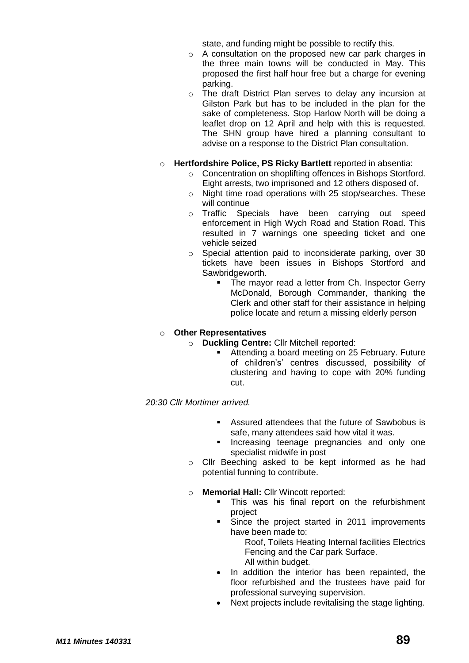state, and funding might be possible to rectify this.

- o A consultation on the proposed new car park charges in the three main towns will be conducted in May. This proposed the first half hour free but a charge for evening parking.
- o The draft District Plan serves to delay any incursion at Gilston Park but has to be included in the plan for the sake of completeness. Stop Harlow North will be doing a leaflet drop on 12 April and help with this is requested. The SHN group have hired a planning consultant to advise on a response to the District Plan consultation.
- o **Hertfordshire Police, PS Ricky Bartlett** reported in absentia:
	- o Concentration on shoplifting offences in Bishops Stortford. Eight arrests, two imprisoned and 12 others disposed of.
	- o Night time road operations with 25 stop/searches. These will continue
	- o Traffic Specials have been carrying out speed enforcement in High Wych Road and Station Road. This resulted in 7 warnings one speeding ticket and one vehicle seized
	- o Special attention paid to inconsiderate parking, over 30 tickets have been issues in Bishops Stortford and Sawbridgeworth.
		- The mayor read a letter from Ch. Inspector Gerry McDonald, Borough Commander, thanking the Clerk and other staff for their assistance in helping police locate and return a missing elderly person

# o **Other Representatives**

- o **Duckling Centre:** Cllr Mitchell reported:
	- Attending a board meeting on 25 February. Future of children's' centres discussed, possibility of clustering and having to cope with 20% funding cut.

*20:30 Cllr Mortimer arrived.*

- Assured attendees that the future of Sawbobus is safe, many attendees said how vital it was.
- Increasing teenage pregnancies and only one specialist midwife in post
- o Cllr Beeching asked to be kept informed as he had potential funning to contribute.
- **Memorial Hall: Cllr Wincott reported:** 
	- This was his final report on the refurbishment project
	- Since the project started in 2011 improvements have been made to:

Roof, Toilets Heating Internal facilities Electrics Fencing and the Car park Surface. All within budget.

- In addition the interior has been repainted, the floor refurbished and the trustees have paid for professional surveying supervision.
- Next projects include revitalising the stage lighting.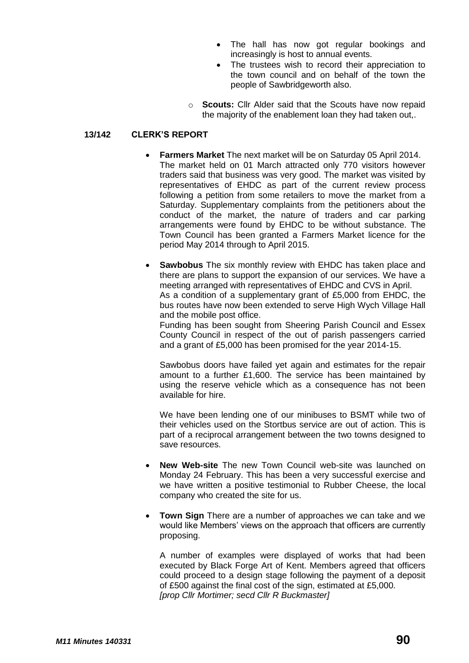- The hall has now got regular bookings and increasingly is host to annual events.
- The trustees wish to record their appreciation to the town council and on behalf of the town the people of Sawbridgeworth also.
- o **Scouts:** Cllr Alder said that the Scouts have now repaid the majority of the enablement loan they had taken out,.

## **13/142 CLERK'S REPORT**

- **Farmers Market** The next market will be on Saturday 05 April 2014. The market held on 01 March attracted only 770 visitors however traders said that business was very good. The market was visited by representatives of EHDC as part of the current review process following a petition from some retailers to move the market from a Saturday. Supplementary complaints from the petitioners about the conduct of the market, the nature of traders and car parking arrangements were found by EHDC to be without substance. The Town Council has been granted a Farmers Market licence for the period May 2014 through to April 2015.
- **Sawbobus** The six monthly review with EHDC has taken place and there are plans to support the expansion of our services. We have a meeting arranged with representatives of EHDC and CVS in April. As a condition of a supplementary grant of £5,000 from EHDC, the bus routes have now been extended to serve High Wych Village Hall and the mobile post office.

Funding has been sought from Sheering Parish Council and Essex County Council in respect of the out of parish passengers carried and a grant of £5,000 has been promised for the year 2014-15.

Sawbobus doors have failed yet again and estimates for the repair amount to a further £1,600. The service has been maintained by using the reserve vehicle which as a consequence has not been available for hire.

We have been lending one of our minibuses to BSMT while two of their vehicles used on the Stortbus service are out of action. This is part of a reciprocal arrangement between the two towns designed to save resources.

- **New Web-site** The new Town Council web-site was launched on Monday 24 February. This has been a very successful exercise and we have written a positive testimonial to Rubber Cheese, the local company who created the site for us.
- **Town Sign** There are a number of approaches we can take and we would like Members' views on the approach that officers are currently proposing.

A number of examples were displayed of works that had been executed by Black Forge Art of Kent. Members agreed that officers could proceed to a design stage following the payment of a deposit of £500 against the final cost of the sign, estimated at £5,000. *[prop Cllr Mortimer; secd Cllr R Buckmaster]*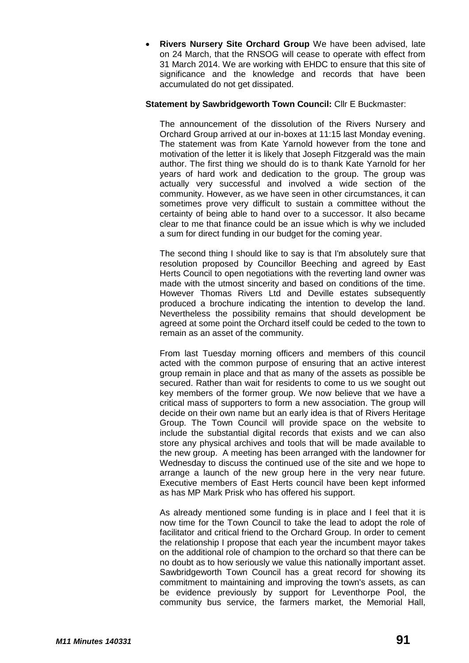**Rivers Nursery Site Orchard Group** We have been advised, late on 24 March, that the RNSOG will cease to operate with effect from 31 March 2014. We are working with EHDC to ensure that this site of significance and the knowledge and records that have been accumulated do not get dissipated.

### **Statement by Sawbridgeworth Town Council:** Cllr E Buckmaster:

The announcement of the dissolution of the Rivers Nursery and Orchard Group arrived at our in-boxes at 11:15 last Monday evening. The statement was from Kate Yarnold however from the tone and motivation of the letter it is likely that Joseph Fitzgerald was the main author. The first thing we should do is to thank Kate Yarnold for her years of hard work and dedication to the group. The group was actually very successful and involved a wide section of the community. However, as we have seen in other circumstances, it can sometimes prove very difficult to sustain a committee without the certainty of being able to hand over to a successor. It also became clear to me that finance could be an issue which is why we included a sum for direct funding in our budget for the coming year.

The second thing I should like to say is that I'm absolutely sure that resolution proposed by Councillor Beeching and agreed by East Herts Council to open negotiations with the reverting land owner was made with the utmost sincerity and based on conditions of the time. However Thomas Rivers Ltd and Deville estates subsequently produced a brochure indicating the intention to develop the land. Nevertheless the possibility remains that should development be agreed at some point the Orchard itself could be ceded to the town to remain as an asset of the community.

From last Tuesday morning officers and members of this council acted with the common purpose of ensuring that an active interest group remain in place and that as many of the assets as possible be secured. Rather than wait for residents to come to us we sought out key members of the former group. We now believe that we have a critical mass of supporters to form a new association. The group will decide on their own name but an early idea is that of Rivers Heritage Group. The Town Council will provide space on the website to include the substantial digital records that exists and we can also store any physical archives and tools that will be made available to the new group. A meeting has been arranged with the landowner for Wednesday to discuss the continued use of the site and we hope to arrange a launch of the new group here in the very near future. Executive members of East Herts council have been kept informed as has MP Mark Prisk who has offered his support.

As already mentioned some funding is in place and I feel that it is now time for the Town Council to take the lead to adopt the role of facilitator and critical friend to the Orchard Group. In order to cement the relationship I propose that each year the incumbent mayor takes on the additional role of champion to the orchard so that there can be no doubt as to how seriously we value this nationally important asset. Sawbridgeworth Town Council has a great record for showing its commitment to maintaining and improving the town's assets, as can be evidence previously by support for Leventhorpe Pool, the community bus service, the farmers market, the Memorial Hall,